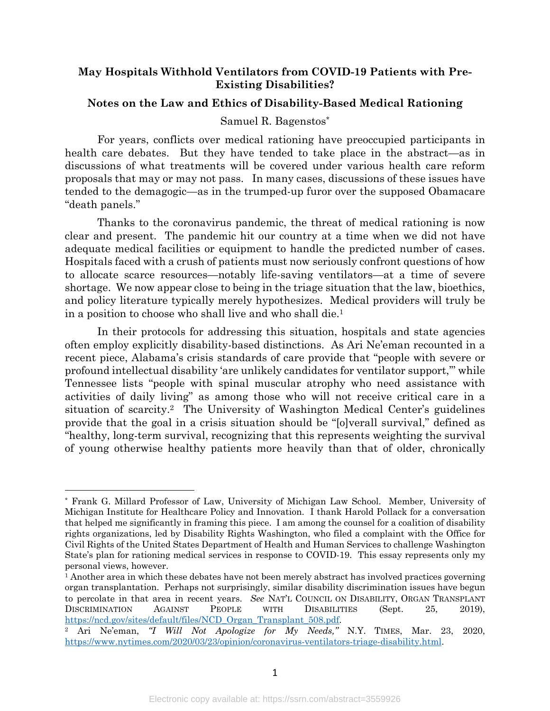# **May Hospitals Withhold Ventilators from COVID-19 Patients with Pre-Existing Disabilities?**

### **Notes on the Law and Ethics of Disability-Based Medical Rationing**

#### Samuel R. Bagenstos\*

For years, conflicts over medical rationing have preoccupied participants in health care debates. But they have tended to take place in the abstract—as in discussions of what treatments will be covered under various health care reform proposals that may or may not pass. In many cases, discussions of these issues have tended to the demagogic—as in the trumped-up furor over the supposed Obamacare "death panels."

Thanks to the coronavirus pandemic, the threat of medical rationing is now clear and present. The pandemic hit our country at a time when we did not have adequate medical facilities or equipment to handle the predicted number of cases. Hospitals faced with a crush of patients must now seriously confront questions of how to allocate scarce resources—notably life-saving ventilators—at a time of severe shortage. We now appear close to being in the triage situation that the law, bioethics, and policy literature typically merely hypothesizes. Medical providers will truly be in a position to choose who shall live and who shall die.1

In their protocols for addressing this situation, hospitals and state agencies often employ explicitly disability-based distinctions. As Ari Ne'eman recounted in a recent piece, Alabama's crisis standards of care provide that "people with severe or profound intellectual disability 'are unlikely candidates for ventilator support,'" while Tennessee lists "people with spinal muscular atrophy who need assistance with activities of daily living" as among those who will not receive critical care in a situation of scarcity.2 The University of Washington Medical Center's guidelines provide that the goal in a crisis situation should be "[o]verall survival," defined as "healthy, long-term survival, recognizing that this represents weighting the survival of young otherwise healthy patients more heavily than that of older, chronically

<sup>\*</sup> Frank G. Millard Professor of Law, University of Michigan Law School. Member, University of Michigan Institute for Healthcare Policy and Innovation. I thank Harold Pollack for a conversation that helped me significantly in framing this piece. I am among the counsel for a coalition of disability rights organizations, led by Disability Rights Washington, who filed a complaint with the Office for Civil Rights of the United States Department of Health and Human Services to challenge Washington State's plan for rationing medical services in response to COVID-19. This essay represents only my personal views, however.

<sup>1</sup> Another area in which these debates have not been merely abstract has involved practices governing organ transplantation. Perhaps not surprisingly, similar disability discrimination issues have begun to percolate in that area in recent years. *See* NAT'L COUNCIL ON DISABILITY, ORGAN TRANSPLANT DISCRIMINATION AGAINST PEOPLE WITH DISABILITIES (Sept. 25, 2019), https://ncd.gov/sites/default/files/NCD\_Organ\_Transplant\_508.pdf.

<sup>2</sup> Ari Ne'eman, *"I Will Not Apologize for My Needs,"* N.Y. TIMES, Mar. 23, 2020, https://www.nytimes.com/2020/03/23/opinion/coronavirus-ventilators-triage-disability.html.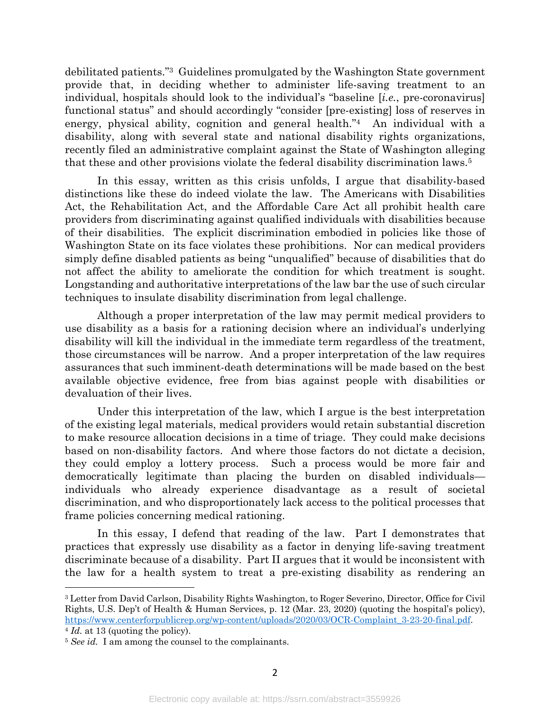debilitated patients."3 Guidelines promulgated by the Washington State government provide that, in deciding whether to administer life-saving treatment to an individual, hospitals should look to the individual's "baseline [*i.e.*, pre-coronavirus] functional status" and should accordingly "consider [pre-existing] loss of reserves in energy, physical ability, cognition and general health."4 An individual with a disability, along with several state and national disability rights organizations, recently filed an administrative complaint against the State of Washington alleging that these and other provisions violate the federal disability discrimination laws.5

In this essay, written as this crisis unfolds, I argue that disability-based distinctions like these do indeed violate the law. The Americans with Disabilities Act, the Rehabilitation Act, and the Affordable Care Act all prohibit health care providers from discriminating against qualified individuals with disabilities because of their disabilities. The explicit discrimination embodied in policies like those of Washington State on its face violates these prohibitions. Nor can medical providers simply define disabled patients as being "unqualified" because of disabilities that do not affect the ability to ameliorate the condition for which treatment is sought. Longstanding and authoritative interpretations of the law bar the use of such circular techniques to insulate disability discrimination from legal challenge.

Although a proper interpretation of the law may permit medical providers to use disability as a basis for a rationing decision where an individual's underlying disability will kill the individual in the immediate term regardless of the treatment, those circumstances will be narrow. And a proper interpretation of the law requires assurances that such imminent-death determinations will be made based on the best available objective evidence, free from bias against people with disabilities or devaluation of their lives.

Under this interpretation of the law, which I argue is the best interpretation of the existing legal materials, medical providers would retain substantial discretion to make resource allocation decisions in a time of triage. They could make decisions based on non-disability factors. And where those factors do not dictate a decision, they could employ a lottery process. Such a process would be more fair and democratically legitimate than placing the burden on disabled individuals individuals who already experience disadvantage as a result of societal discrimination, and who disproportionately lack access to the political processes that frame policies concerning medical rationing.

In this essay, I defend that reading of the law. Part I demonstrates that practices that expressly use disability as a factor in denying life-saving treatment discriminate because of a disability. Part II argues that it would be inconsistent with the law for a health system to treat a pre-existing disability as rendering an

<sup>3</sup> Letter from David Carlson, Disability Rights Washington, to Roger Severino, Director, Office for Civil Rights, U.S. Dep't of Health & Human Services, p. 12 (Mar. 23, 2020) (quoting the hospital's policy), https://www.centerforpublicrep.org/wp-content/uploads/2020/03/OCR-Complaint\_3-23-20-final.pdf. <sup>4</sup> *Id.* at 13 (quoting the policy).

<sup>5</sup> *See id.* I am among the counsel to the complainants.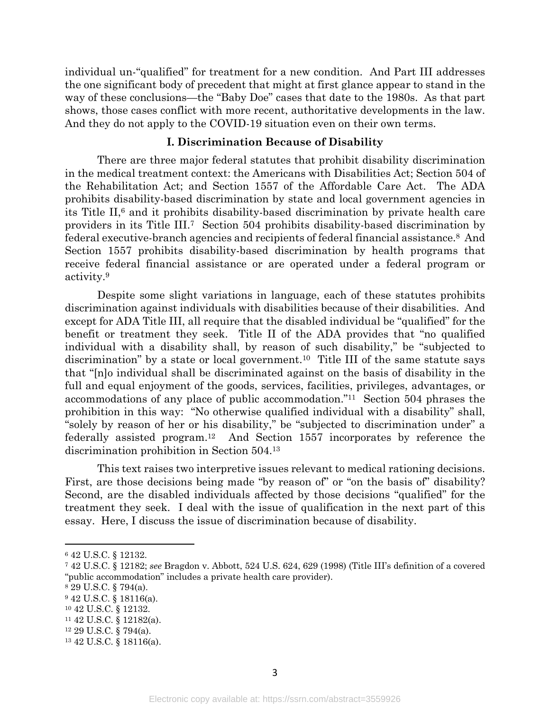individual un-"qualified" for treatment for a new condition. And Part III addresses the one significant body of precedent that might at first glance appear to stand in the way of these conclusions—the "Baby Doe" cases that date to the 1980s. As that part shows, those cases conflict with more recent, authoritative developments in the law. And they do not apply to the COVID-19 situation even on their own terms.

#### **I. Discrimination Because of Disability**

There are three major federal statutes that prohibit disability discrimination in the medical treatment context: the Americans with Disabilities Act; Section 504 of the Rehabilitation Act; and Section 1557 of the Affordable Care Act. The ADA prohibits disability-based discrimination by state and local government agencies in its Title  $II,6$  and it prohibits disability-based discrimination by private health care providers in its Title III.7 Section 504 prohibits disability-based discrimination by federal executive-branch agencies and recipients of federal financial assistance.8 And Section 1557 prohibits disability-based discrimination by health programs that receive federal financial assistance or are operated under a federal program or activity.9

Despite some slight variations in language, each of these statutes prohibits discrimination against individuals with disabilities because of their disabilities. And except for ADA Title III, all require that the disabled individual be "qualified" for the benefit or treatment they seek. Title II of the ADA provides that "no qualified individual with a disability shall, by reason of such disability," be "subjected to discrimination" by a state or local government.<sup>10</sup> Title III of the same statute says that "[n]o individual shall be discriminated against on the basis of disability in the full and equal enjoyment of the goods, services, facilities, privileges, advantages, or accommodations of any place of public accommodation."11 Section 504 phrases the prohibition in this way: "No otherwise qualified individual with a disability" shall, "solely by reason of her or his disability," be "subjected to discrimination under" a federally assisted program.12 And Section 1557 incorporates by reference the discrimination prohibition in Section 504.13

This text raises two interpretive issues relevant to medical rationing decisions. First, are those decisions being made "by reason of" or "on the basis of" disability? Second, are the disabled individuals affected by those decisions "qualified" for the treatment they seek. I deal with the issue of qualification in the next part of this essay. Here, I discuss the issue of discrimination because of disability.

<sup>6</sup> 42 U.S.C. § 12132.

<sup>7</sup> 42 U.S.C. § 12182; *see* Bragdon v. Abbott, 524 U.S. 624, 629 (1998) (Title III's definition of a covered "public accommodation" includes a private health care provider).

<sup>8</sup> 29 U.S.C. § 794(a).

<sup>9</sup> 42 U.S.C. § 18116(a).

<sup>10</sup> 42 U.S.C. § 12132.

<sup>11</sup> 42 U.S.C. § 12182(a).

<sup>12</sup> 29 U.S.C. § 794(a).

<sup>13</sup> 42 U.S.C. § 18116(a).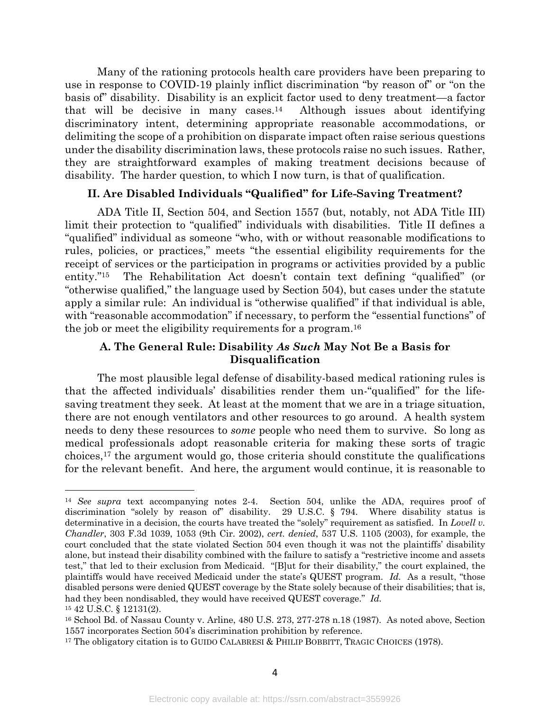Many of the rationing protocols health care providers have been preparing to use in response to COVID-19 plainly inflict discrimination "by reason of" or "on the basis of" disability. Disability is an explicit factor used to deny treatment—a factor that will be decisive in many cases.<sup>14</sup> Although issues about identifying discriminatory intent, determining appropriate reasonable accommodations, or delimiting the scope of a prohibition on disparate impact often raise serious questions under the disability discrimination laws, these protocols raise no such issues. Rather, they are straightforward examples of making treatment decisions because of disability. The harder question, to which I now turn, is that of qualification.

## **II. Are Disabled Individuals "Qualified" for Life-Saving Treatment?**

ADA Title II, Section 504, and Section 1557 (but, notably, not ADA Title III) limit their protection to "qualified" individuals with disabilities. Title II defines a "qualified" individual as someone "who, with or without reasonable modifications to rules, policies, or practices," meets "the essential eligibility requirements for the receipt of services or the participation in programs or activities provided by a public entity."15 The Rehabilitation Act doesn't contain text defining "qualified" (or "otherwise qualified," the language used by Section 504), but cases under the statute apply a similar rule: An individual is "otherwise qualified" if that individual is able, with "reasonable accommodation" if necessary, to perform the "essential functions" of the job or meet the eligibility requirements for a program.16

## **A. The General Rule: Disability** *As Such* **May Not Be a Basis for Disqualification**

The most plausible legal defense of disability-based medical rationing rules is that the affected individuals' disabilities render them un-"qualified" for the lifesaving treatment they seek. At least at the moment that we are in a triage situation, there are not enough ventilators and other resources to go around. A health system needs to deny these resources to *some* people who need them to survive. So long as medical professionals adopt reasonable criteria for making these sorts of tragic choices,17 the argument would go, those criteria should constitute the qualifications for the relevant benefit. And here, the argument would continue, it is reasonable to

<sup>14</sup> *See supra* text accompanying notes 2-4. Section 504, unlike the ADA, requires proof of discrimination "solely by reason of" disability. 29 U.S.C. § 794. Where disability status is determinative in a decision, the courts have treated the "solely" requirement as satisfied. In *Lovell v. Chandler*, 303 F.3d 1039, 1053 (9th Cir. 2002), *cert. denied*, 537 U.S. 1105 (2003), for example, the court concluded that the state violated Section 504 even though it was not the plaintiffs' disability alone, but instead their disability combined with the failure to satisfy a "restrictive income and assets test," that led to their exclusion from Medicaid. "[B]ut for their disability," the court explained, the plaintiffs would have received Medicaid under the state's QUEST program. *Id.* As a result, "those disabled persons were denied QUEST coverage by the State solely because of their disabilities; that is, had they been nondisabled, they would have received QUEST coverage." *Id.*

<sup>15</sup> 42 U.S.C. § 12131(2).

<sup>16</sup> School Bd. of Nassau County v. Arline, 480 U.S. 273, 277-278 n.18 (1987). As noted above, Section 1557 incorporates Section 504's discrimination prohibition by reference.

<sup>17</sup> The obligatory citation is to GUIDO CALABRESI & PHILIP BOBBITT, TRAGIC CHOICES (1978).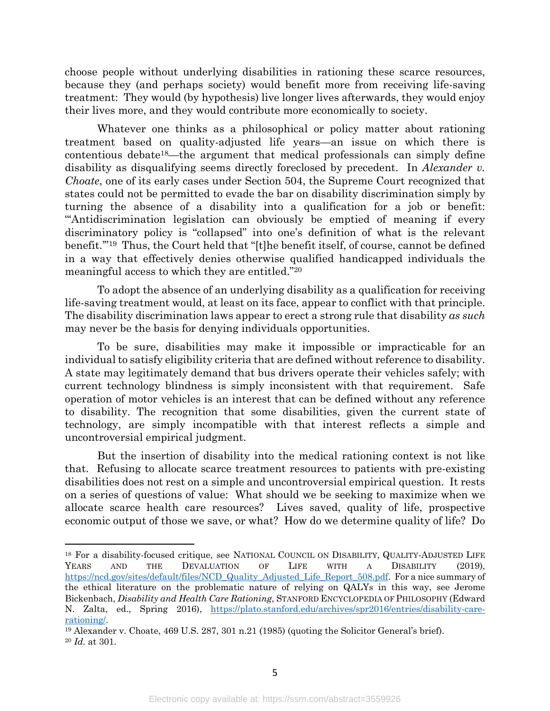choose people without underlying disabilities in rationing these scarce resources, because they (and perhaps society) would benefit more from receiving life-saving treatment: They would (by hypothesis) live longer lives afterwards, they would enjoy their lives more, and they would contribute more economically to society.

Whatever one thinks as a philosophical or policy matter about rationing treatment based on quality-adjusted life years—an issue on which there is contentious debate18—the argument that medical professionals can simply define disability as disqualifying seems directly foreclosed by precedent. In *Alexander v. Choate*, one of its early cases under Section 504, the Supreme Court recognized that states could not be permitted to evade the bar on disability discrimination simply by turning the absence of a disability into a qualification for a job or benefit: "'Antidiscrimination legislation can obviously be emptied of meaning if every discriminatory policy is "collapsed" into one's definition of what is the relevant benefit.'"19 Thus, the Court held that "[t]he benefit itself, of course, cannot be defined in a way that effectively denies otherwise qualified handicapped individuals the meaningful access to which they are entitled."20

To adopt the absence of an underlying disability as a qualification for receiving life-saving treatment would, at least on its face, appear to conflict with that principle. The disability discrimination laws appear to erect a strong rule that disability *as such* may never be the basis for denying individuals opportunities.

To be sure, disabilities may make it impossible or impracticable for an individual to satisfy eligibility criteria that are defined without reference to disability. A state may legitimately demand that bus drivers operate their vehicles safely; with current technology blindness is simply inconsistent with that requirement. Safe operation of motor vehicles is an interest that can be defined without any reference to disability. The recognition that some disabilities, given the current state of technology, are simply incompatible with that interest reflects a simple and uncontroversial empirical judgment.

But the insertion of disability into the medical rationing context is not like that. Refusing to allocate scarce treatment resources to patients with pre-existing disabilities does not rest on a simple and uncontroversial empirical question. It rests on a series of questions of value: What should we be seeking to maximize when we allocate scarce health care resources? Lives saved, quality of life, prospective economic output of those we save, or what? How do we determine quality of life? Do

<sup>18</sup> For a disability-focused critique, see NATIONAL COUNCIL ON DISABILITY, QUALITY-ADJUSTED LIFE YEARS AND THE DEVALUATION OF LIFE WITH A DISABILITY (2019), https://ncd.gov/sites/default/files/NCD\_Quality\_Adjusted\_Life\_Report\_508.pdf. For a nice summary of the ethical literature on the problematic nature of relying on QALYs in this way, see Jerome Bickenbach, *Disability and Health Care Rationing*, STANFORD ENCYCLOPEDIA OF PHILOSOPHY (Edward N. Zalta, ed., Spring 2016), https://plato.stanford.edu/archives/spr2016/entries/disability-care- $\frac{\text{rational}}{19}$  Alexander v. Choate, 469 U.S. 287, 301 n.21 (1985) (quoting the Solicitor General's brief).

<sup>20</sup> *Id.* at 301.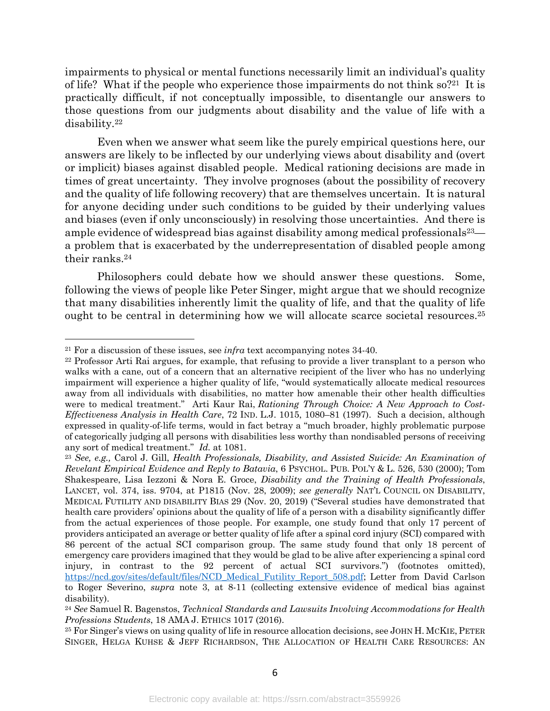impairments to physical or mental functions necessarily limit an individual's quality of life? What if the people who experience those impairments do not think  $\delta^{2^{21}}$  It is practically difficult, if not conceptually impossible, to disentangle our answers to those questions from our judgments about disability and the value of life with a disability.22

Even when we answer what seem like the purely empirical questions here, our answers are likely to be inflected by our underlying views about disability and (overt or implicit) biases against disabled people. Medical rationing decisions are made in times of great uncertainty. They involve prognoses (about the possibility of recovery and the quality of life following recovery) that are themselves uncertain. It is natural for anyone deciding under such conditions to be guided by their underlying values and biases (even if only unconsciously) in resolving those uncertainties. And there is ample evidence of widespread bias against disability among medical professionals  $23$  a problem that is exacerbated by the underrepresentation of disabled people among their ranks.24

Philosophers could debate how we should answer these questions. Some, following the views of people like Peter Singer, might argue that we should recognize that many disabilities inherently limit the quality of life, and that the quality of life ought to be central in determining how we will allocate scarce societal resources.25

<sup>21</sup> For a discussion of these issues, see *infra* text accompanying notes 34-40.

<sup>22</sup> Professor Arti Rai argues, for example, that refusing to provide a liver transplant to a person who walks with a cane, out of a concern that an alternative recipient of the liver who has no underlying impairment will experience a higher quality of life, "would systematically allocate medical resources away from all individuals with disabilities, no matter how amenable their other health difficulties were to medical treatment." Arti Kaur Rai, *Rationing Through Choice: A New Approach to Cost-Effectiveness Analysis in Health Care*, 72 IND. L.J. 1015, 1080–81 (1997). Such a decision, although expressed in quality-of-life terms, would in fact betray a "much broader, highly problematic purpose of categorically judging all persons with disabilities less worthy than nondisabled persons of receiving any sort of medical treatment." *Id.* at 1081.

<sup>23</sup> *See, e.g.,* Carol J. Gill, *Health Professionals, Disability, and Assisted Suicide: An Examination of Revelant Empirical Evidence and Reply to Batavia*, 6 PSYCHOL. PUB. POL'Y & L. 526, 530 (2000); Tom Shakespeare, Lisa Iezzoni & Nora E. Groce, *Disability and the Training of Health Professionals*, LANCET, vol. 374, iss. 9704, at P1815 (Nov. 28, 2009); *see generally* NAT'L COUNCIL ON DISABILITY, MEDICAL FUTILITY AND DISABILITY BIAS 29 (Nov. 20, 2019) ("Several studies have demonstrated that health care providers' opinions about the quality of life of a person with a disability significantly differ from the actual experiences of those people. For example, one study found that only 17 percent of providers anticipated an average or better quality of life after a spinal cord injury (SCI) compared with 86 percent of the actual SCI comparison group. The same study found that only 18 percent of emergency care providers imagined that they would be glad to be alive after experiencing a spinal cord injury, in contrast to the 92 percent of actual SCI survivors.") (footnotes omitted), https://ncd.gov/sites/default/files/NCD\_Medical\_Futility\_Report\_508.pdf; Letter from David Carlson to Roger Severino, *supra* note 3, at 8-11 (collecting extensive evidence of medical bias against disability).

<sup>24</sup> *See* Samuel R. Bagenstos, *Technical Standards and Lawsuits Involving Accommodations for Health Professions Students*, 18 AMA J. ETHICS 1017 (2016).

<sup>25</sup> For Singer's views on using quality of life in resource allocation decisions, see JOHN H. MCKIE, PETER SINGER, HELGA KUHSE & JEFF RICHARDSON, THE ALLOCATION OF HEALTH CARE RESOURCES: AN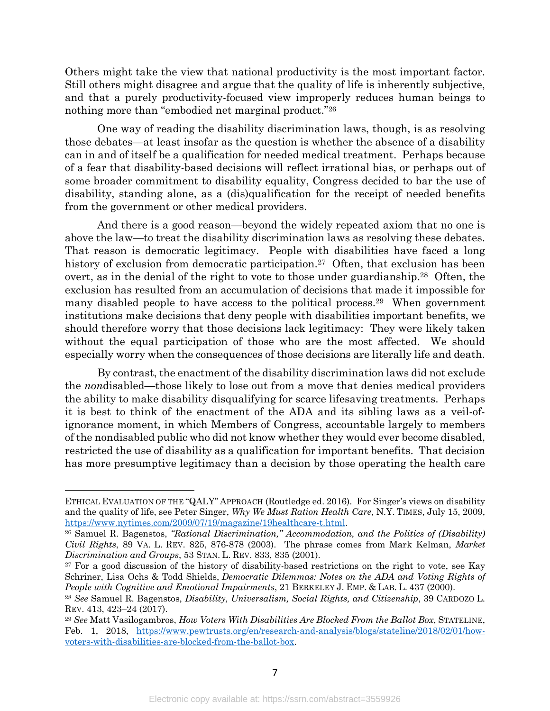Others might take the view that national productivity is the most important factor. Still others might disagree and argue that the quality of life is inherently subjective, and that a purely productivity-focused view improperly reduces human beings to nothing more than "embodied net marginal product."<sup>26</sup>

One way of reading the disability discrimination laws, though, is as resolving those debates—at least insofar as the question is whether the absence of a disability can in and of itself be a qualification for needed medical treatment. Perhaps because of a fear that disability-based decisions will reflect irrational bias, or perhaps out of some broader commitment to disability equality, Congress decided to bar the use of disability, standing alone, as a (dis)qualification for the receipt of needed benefits from the government or other medical providers.

And there is a good reason—beyond the widely repeated axiom that no one is above the law—to treat the disability discrimination laws as resolving these debates. That reason is democratic legitimacy. People with disabilities have faced a long history of exclusion from democratic participation.<sup>27</sup> Often, that exclusion has been overt, as in the denial of the right to vote to those under guardianship.<sup>28</sup> Often, the exclusion has resulted from an accumulation of decisions that made it impossible for many disabled people to have access to the political process.<sup>29</sup> When government institutions make decisions that deny people with disabilities important benefits, we should therefore worry that those decisions lack legitimacy: They were likely taken without the equal participation of those who are the most affected. We should especially worry when the consequences of those decisions are literally life and death.

By contrast, the enactment of the disability discrimination laws did not exclude the *non*disabled—those likely to lose out from a move that denies medical providers the ability to make disability disqualifying for scarce lifesaving treatments. Perhaps it is best to think of the enactment of the ADA and its sibling laws as a veil-ofignorance moment, in which Members of Congress, accountable largely to members of the nondisabled public who did not know whether they would ever become disabled, restricted the use of disability as a qualification for important benefits. That decision has more presumptive legitimacy than a decision by those operating the health care

ETHICAL EVALUATION OF THE "QALY" APPROACH (Routledge ed. 2016). For Singer's views on disability and the quality of life, see Peter Singer, *Why We Must Ration Health Care*, N.Y. TIMES, July 15, 2009, https://www.nytimes.com/2009/07/19/magazine/19healthcare-t.html.

<sup>26</sup> Samuel R. Bagenstos, *"Rational Discrimination," Accommodation, and the Politics of (Disability) Civil Rights*, 89 VA. L. REV. 825, 876-878 (2003). The phrase comes from Mark Kelman, *Market Discrimination and Groups*, 53 STAN. L. REV. 833, 835 (2001).

<sup>&</sup>lt;sup>27</sup> For a good discussion of the history of disability-based restrictions on the right to vote, see Kay Schriner, Lisa Ochs & Todd Shields, *Democratic Dilemmas: Notes on the ADA and Voting Rights of People with Cognitive and Emotional Impairments*, 21 BERKELEY J. EMP. & LAB. L. 437 (2000).

<sup>28</sup> *See* Samuel R. Bagenstos, *Disability, Universalism, Social Rights, and Citizenship*, 39 CARDOZO L. REV. 413, 423–24 (2017).

<sup>29</sup> *See* Matt Vasilogambros, *How Voters With Disabilities Are Blocked From the Ballot Box*, STATELINE, Feb. 1, 2018, https://www.pewtrusts.org/en/research-and-analysis/blogs/stateline/2018/02/01/howvoters-with-disabilities-are-blocked-from-the-ballot-box.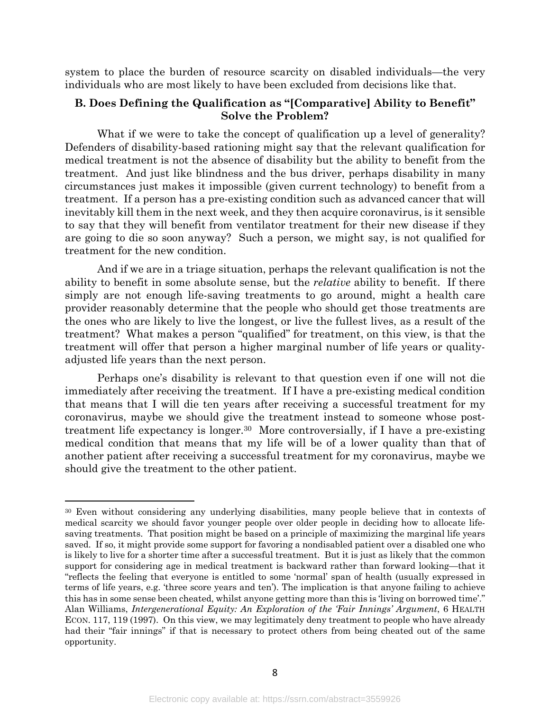system to place the burden of resource scarcity on disabled individuals—the very individuals who are most likely to have been excluded from decisions like that.

## **B. Does Defining the Qualification as "[Comparative] Ability to Benefit" Solve the Problem?**

What if we were to take the concept of qualification up a level of generality? Defenders of disability-based rationing might say that the relevant qualification for medical treatment is not the absence of disability but the ability to benefit from the treatment. And just like blindness and the bus driver, perhaps disability in many circumstances just makes it impossible (given current technology) to benefit from a treatment. If a person has a pre-existing condition such as advanced cancer that will inevitably kill them in the next week, and they then acquire coronavirus, is it sensible to say that they will benefit from ventilator treatment for their new disease if they are going to die so soon anyway? Such a person, we might say, is not qualified for treatment for the new condition.

And if we are in a triage situation, perhaps the relevant qualification is not the ability to benefit in some absolute sense, but the *relative* ability to benefit. If there simply are not enough life-saving treatments to go around, might a health care provider reasonably determine that the people who should get those treatments are the ones who are likely to live the longest, or live the fullest lives, as a result of the treatment? What makes a person "qualified" for treatment, on this view, is that the treatment will offer that person a higher marginal number of life years or qualityadjusted life years than the next person.

Perhaps one's disability is relevant to that question even if one will not die immediately after receiving the treatment. If I have a pre-existing medical condition that means that I will die ten years after receiving a successful treatment for my coronavirus, maybe we should give the treatment instead to someone whose posttreatment life expectancy is longer.30 More controversially, if I have a pre-existing medical condition that means that my life will be of a lower quality than that of another patient after receiving a successful treatment for my coronavirus, maybe we should give the treatment to the other patient.

<sup>30</sup> Even without considering any underlying disabilities, many people believe that in contexts of medical scarcity we should favor younger people over older people in deciding how to allocate lifesaving treatments. That position might be based on a principle of maximizing the marginal life years saved. If so, it might provide some support for favoring a nondisabled patient over a disabled one who is likely to live for a shorter time after a successful treatment. But it is just as likely that the common support for considering age in medical treatment is backward rather than forward looking—that it "reflects the feeling that everyone is entitled to some 'normal' span of health (usually expressed in terms of life years, e.g. 'three score years and ten'). The implication is that anyone failing to achieve this has in some sense been cheated, whilst anyone getting more than this is 'living on borrowed time'." Alan Williams, *Intergenerational Equity: An Exploration of the 'Fair Innings' Argument*, 6 HEALTH ECON. 117, 119 (1997). On this view, we may legitimately deny treatment to people who have already had their "fair innings" if that is necessary to protect others from being cheated out of the same opportunity.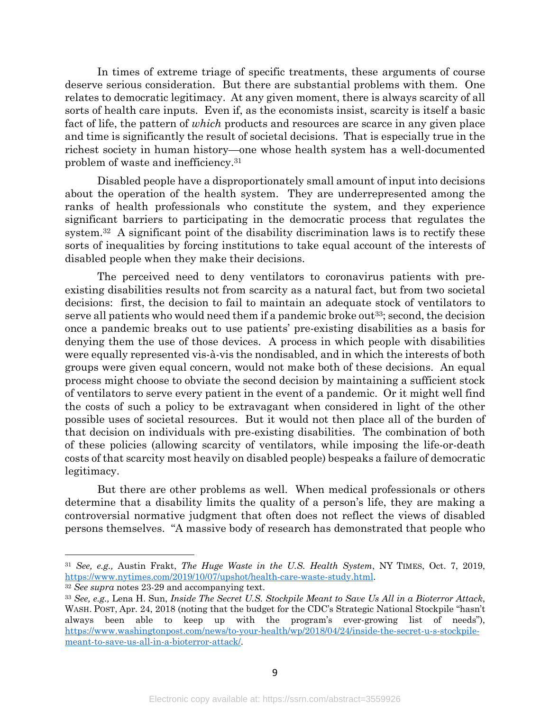In times of extreme triage of specific treatments, these arguments of course deserve serious consideration. But there are substantial problems with them. One relates to democratic legitimacy. At any given moment, there is always scarcity of all sorts of health care inputs. Even if, as the economists insist, scarcity is itself a basic fact of life, the pattern of *which* products and resources are scarce in any given place and time is significantly the result of societal decisions. That is especially true in the richest society in human history—one whose health system has a well-documented problem of waste and inefficiency.31

Disabled people have a disproportionately small amount of input into decisions about the operation of the health system. They are underrepresented among the ranks of health professionals who constitute the system, and they experience significant barriers to participating in the democratic process that regulates the system.<sup>32</sup> A significant point of the disability discrimination laws is to rectify these sorts of inequalities by forcing institutions to take equal account of the interests of disabled people when they make their decisions.

The perceived need to deny ventilators to coronavirus patients with preexisting disabilities results not from scarcity as a natural fact, but from two societal decisions: first, the decision to fail to maintain an adequate stock of ventilators to serve all patients who would need them if a pandemic broke out<sup>33</sup>; second, the decision once a pandemic breaks out to use patients' pre-existing disabilities as a basis for denying them the use of those devices. A process in which people with disabilities were equally represented vis-à-vis the nondisabled, and in which the interests of both groups were given equal concern, would not make both of these decisions. An equal process might choose to obviate the second decision by maintaining a sufficient stock of ventilators to serve every patient in the event of a pandemic. Or it might well find the costs of such a policy to be extravagant when considered in light of the other possible uses of societal resources. But it would not then place all of the burden of that decision on individuals with pre-existing disabilities. The combination of both of these policies (allowing scarcity of ventilators, while imposing the life-or-death costs of that scarcity most heavily on disabled people) bespeaks a failure of democratic legitimacy.

But there are other problems as well. When medical professionals or others determine that a disability limits the quality of a person's life, they are making a controversial normative judgment that often does not reflect the views of disabled persons themselves. "A massive body of research has demonstrated that people who

<sup>32</sup> *See supra* notes 23-29 and accompanying text.

<sup>31</sup> *See, e.g.,* Austin Frakt, *The Huge Waste in the U.S. Health System*, NY TIMES, Oct. 7, 2019, https://www.nytimes.com/2019/10/07/upshot/health-care-waste-study.html.

<sup>33</sup> *See, e.g.,* Lena H. Sun, *Inside The Secret U.S. Stockpile Meant to Save Us All in a Bioterror Attack*, WASH. POST, Apr. 24, 2018 (noting that the budget for the CDC's Strategic National Stockpile "hasn't always been able to keep up with the program's ever-growing list of needs"), https://www.washingtonpost.com/news/to-your-health/wp/2018/04/24/inside-the-secret-u-s-stockpilemeant-to-save-us-all-in-a-bioterror-attack/.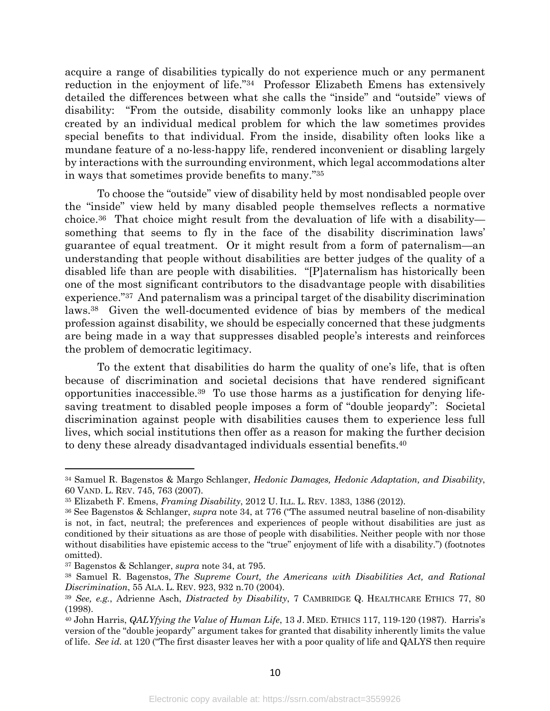acquire a range of disabilities typically do not experience much or any permanent reduction in the enjoyment of life."34 Professor Elizabeth Emens has extensively detailed the differences between what she calls the "inside" and "outside" views of disability: "From the outside, disability commonly looks like an unhappy place created by an individual medical problem for which the law sometimes provides special benefits to that individual. From the inside, disability often looks like a mundane feature of a no-less-happy life, rendered inconvenient or disabling largely by interactions with the surrounding environment, which legal accommodations alter in ways that sometimes provide benefits to many."35

To choose the "outside" view of disability held by most nondisabled people over the "inside" view held by many disabled people themselves reflects a normative choice.36 That choice might result from the devaluation of life with a disability something that seems to fly in the face of the disability discrimination laws' guarantee of equal treatment. Or it might result from a form of paternalism—an understanding that people without disabilities are better judges of the quality of a disabled life than are people with disabilities. "[P]aternalism has historically been one of the most significant contributors to the disadvantage people with disabilities experience."37 And paternalism was a principal target of the disability discrimination laws.38 Given the well-documented evidence of bias by members of the medical profession against disability, we should be especially concerned that these judgments are being made in a way that suppresses disabled people's interests and reinforces the problem of democratic legitimacy.

To the extent that disabilities do harm the quality of one's life, that is often because of discrimination and societal decisions that have rendered significant opportunities inaccessible.39 To use those harms as a justification for denying lifesaving treatment to disabled people imposes a form of "double jeopardy": Societal discrimination against people with disabilities causes them to experience less full lives, which social institutions then offer as a reason for making the further decision to deny these already disadvantaged individuals essential benefits.40

<sup>34</sup> Samuel R. Bagenstos & Margo Schlanger, *Hedonic Damages, Hedonic Adaptation, and Disability*, 60 VAND. L. REV. 745, 763 (2007).

<sup>35</sup> Elizabeth F. Emens, *Framing Disability*, 2012 U. ILL. L. REV. 1383, 1386 (2012).

<sup>36</sup> See Bagenstos & Schlanger, *supra* note 34, at 776 ("The assumed neutral baseline of non-disability is not, in fact, neutral; the preferences and experiences of people without disabilities are just as conditioned by their situations as are those of people with disabilities. Neither people with nor those without disabilities have epistemic access to the "true" enjoyment of life with a disability.") (footnotes omitted).

<sup>37</sup> Bagenstos & Schlanger, *supra* note 34, at 795.

<sup>38</sup> Samuel R. Bagenstos, *The Supreme Court, the Americans with Disabilities Act, and Rational Discrimination*, 55 ALA. L. REV. 923, 932 n.70 (2004).

<sup>39</sup> *See, e.g.*, Adrienne Asch, *Distracted by Disability*, 7 CAMBRIDGE Q. HEALTHCARE ETHICS 77, 80 (1998).

<sup>40</sup> John Harris, *QALYfying the Value of Human Life*, 13 J. MED. ETHICS 117, 119-120 (1987). Harris's version of the "double jeopardy" argument takes for granted that disability inherently limits the value of life. *See id.* at 120 ("The first disaster leaves her with a poor quality of life and QALYS then require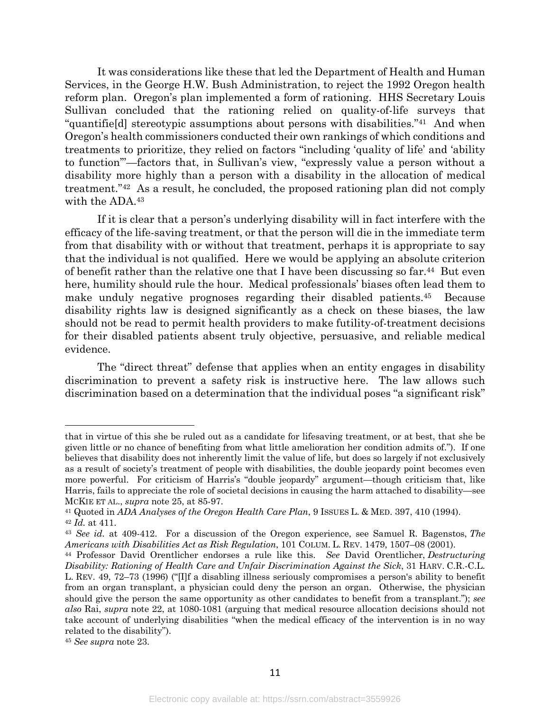It was considerations like these that led the Department of Health and Human Services, in the George H.W. Bush Administration, to reject the 1992 Oregon health reform plan. Oregon's plan implemented a form of rationing. HHS Secretary Louis Sullivan concluded that the rationing relied on quality-of-life surveys that "quantifie[d] stereotypic assumptions about persons with disabilities."41 And when Oregon's health commissioners conducted their own rankings of which conditions and treatments to prioritize, they relied on factors "including 'quality of life' and 'ability to function'"—factors that, in Sullivan's view, "expressly value a person without a disability more highly than a person with a disability in the allocation of medical treatment."42 As a result, he concluded, the proposed rationing plan did not comply with the ADA.<sup>43</sup>

If it is clear that a person's underlying disability will in fact interfere with the efficacy of the life-saving treatment, or that the person will die in the immediate term from that disability with or without that treatment, perhaps it is appropriate to say that the individual is not qualified. Here we would be applying an absolute criterion of benefit rather than the relative one that I have been discussing so far.44 But even here, humility should rule the hour. Medical professionals' biases often lead them to make unduly negative prognoses regarding their disabled patients.45 Because disability rights law is designed significantly as a check on these biases, the law should not be read to permit health providers to make futility-of-treatment decisions for their disabled patients absent truly objective, persuasive, and reliable medical evidence.

The "direct threat" defense that applies when an entity engages in disability discrimination to prevent a safety risk is instructive here. The law allows such discrimination based on a determination that the individual poses "a significant risk"

that in virtue of this she be ruled out as a candidate for lifesaving treatment, or at best, that she be given little or no chance of benefiting from what little amelioration her condition admits of."). If one believes that disability does not inherently limit the value of life, but does so largely if not exclusively as a result of society's treatment of people with disabilities, the double jeopardy point becomes even more powerful. For criticism of Harris's "double jeopardy" argument—though criticism that, like Harris, fails to appreciate the role of societal decisions in causing the harm attached to disability—see

MCKIE ET AL., *supra* note 25, at 85-97. 41 Quoted in *ADA Analyses of the Oregon Health Care Plan*, 9 ISSUES L. & MED. 397, 410 (1994). <sup>42</sup> *Id.* at 411.

<sup>43</sup> *See id.* at 409-412. For a discussion of the Oregon experience, see Samuel R. Bagenstos, *The Americans with Disabilities Act as Risk Regulation*, 101 COLUM. L. REV. 1479, 1507–08 (2001).

<sup>44</sup> Professor David Orentlicher endorses a rule like this. *See* David Orentlicher, *Destructuring Disability: Rationing of Health Care and Unfair Discrimination Against the Sick*, 31 HARV. C.R.-C.L. L. REV. 49, 72–73 (1996) ("[I]f a disabling illness seriously compromises a person's ability to benefit from an organ transplant, a physician could deny the person an organ. Otherwise, the physician should give the person the same opportunity as other candidates to benefit from a transplant."); *see also* Rai, *supra* note 22, at 1080-1081 (arguing that medical resource allocation decisions should not take account of underlying disabilities "when the medical efficacy of the intervention is in no way related to the disability").

<sup>45</sup> *See supra* note 23.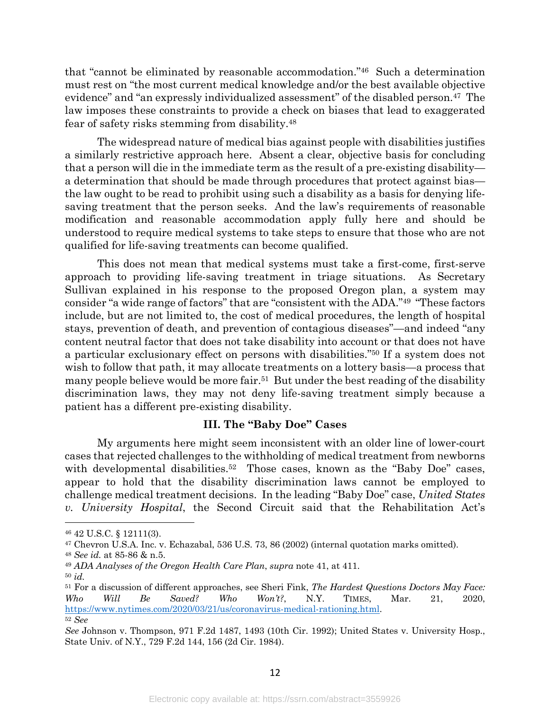that "cannot be eliminated by reasonable accommodation."46 Such a determination must rest on "the most current medical knowledge and/or the best available objective evidence" and "an expressly individualized assessment" of the disabled person.47 The law imposes these constraints to provide a check on biases that lead to exaggerated fear of safety risks stemming from disability.48

The widespread nature of medical bias against people with disabilities justifies a similarly restrictive approach here. Absent a clear, objective basis for concluding that a person will die in the immediate term as the result of a pre-existing disability a determination that should be made through procedures that protect against bias the law ought to be read to prohibit using such a disability as a basis for denying lifesaving treatment that the person seeks. And the law's requirements of reasonable modification and reasonable accommodation apply fully here and should be understood to require medical systems to take steps to ensure that those who are not qualified for life-saving treatments can become qualified.

This does not mean that medical systems must take a first-come, first-serve approach to providing life-saving treatment in triage situations. As Secretary Sullivan explained in his response to the proposed Oregon plan, a system may consider "a wide range of factors" that are "consistent with the ADA."49 "These factors include, but are not limited to, the cost of medical procedures, the length of hospital stays, prevention of death, and prevention of contagious diseases"—and indeed "any content neutral factor that does not take disability into account or that does not have a particular exclusionary effect on persons with disabilities."50 If a system does not wish to follow that path, it may allocate treatments on a lottery basis—a process that many people believe would be more fair.<sup>51</sup> But under the best reading of the disability discrimination laws, they may not deny life-saving treatment simply because a patient has a different pre-existing disability.

### **III. The "Baby Doe" Cases**

My arguments here might seem inconsistent with an older line of lower-court cases that rejected challenges to the withholding of medical treatment from newborns with developmental disabilities.<sup>52</sup> Those cases, known as the "Baby Doe" cases, appear to hold that the disability discrimination laws cannot be employed to challenge medical treatment decisions. In the leading "Baby Doe" case, *United States v. University Hospital*, the Second Circuit said that the Rehabilitation Act's

<sup>46</sup> 42 U.S.C. § 12111(3).

<sup>47</sup> Chevron U.S.A. Inc. v. Echazabal, 536 U.S. 73, 86 (2002) (internal quotation marks omitted).

<sup>48</sup> *See id.* at 85-86 & n.5.

<sup>49</sup> *ADA Analyses of the Oregon Health Care Plan*, *supra* note 41, at 411.

<sup>50</sup> *id.*

<sup>51</sup> For a discussion of different approaches, see Sheri Fink, *The Hardest Questions Doctors May Face: Who Will Be Saved? Who Won't?*, N.Y. TIMES, Mar. 21, 2020, https://www.nytimes.com/2020/03/21/us/coronavirus-medical-rationing.html. <sup>52</sup> *See* 

*See* Johnson v. Thompson, 971 F.2d 1487, 1493 (10th Cir. 1992); United States v. University Hosp., State Univ. of N.Y., 729 F.2d 144, 156 (2d Cir. 1984).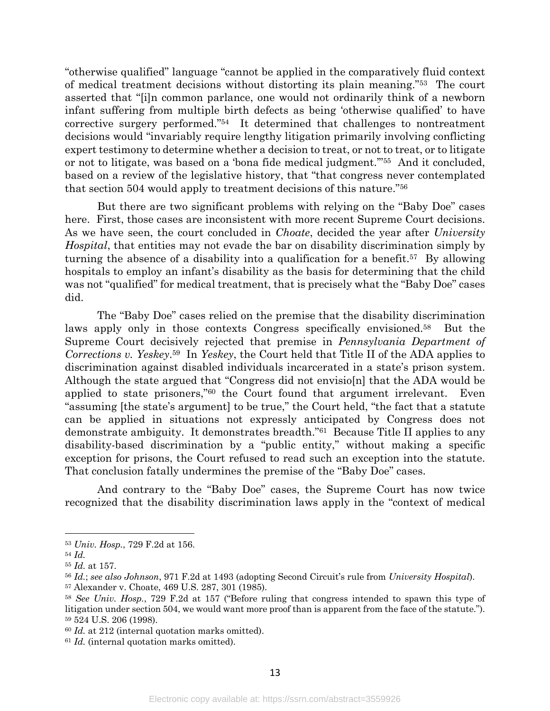"otherwise qualified" language "cannot be applied in the comparatively fluid context of medical treatment decisions without distorting its plain meaning."53 The court asserted that "[i]n common parlance, one would not ordinarily think of a newborn infant suffering from multiple birth defects as being 'otherwise qualified' to have corrective surgery performed."54 It determined that challenges to nontreatment decisions would "invariably require lengthy litigation primarily involving conflicting expert testimony to determine whether a decision to treat, or not to treat, or to litigate or not to litigate, was based on a 'bona fide medical judgment.'"55 And it concluded, based on a review of the legislative history, that "that congress never contemplated that section 504 would apply to treatment decisions of this nature."56

But there are two significant problems with relying on the "Baby Doe" cases here. First, those cases are inconsistent with more recent Supreme Court decisions. As we have seen, the court concluded in *Choate*, decided the year after *University Hospital*, that entities may not evade the bar on disability discrimination simply by turning the absence of a disability into a qualification for a benefit.57 By allowing hospitals to employ an infant's disability as the basis for determining that the child was not "qualified" for medical treatment, that is precisely what the "Baby Doe" cases did.

The "Baby Doe" cases relied on the premise that the disability discrimination laws apply only in those contexts Congress specifically envisioned.58 But the Supreme Court decisively rejected that premise in *Pennsylvania Department of Corrections v. Yeskey*.59 In *Yeskey*, the Court held that Title II of the ADA applies to discrimination against disabled individuals incarcerated in a state's prison system. Although the state argued that "Congress did not envisio[n] that the ADA would be applied to state prisoners,"60 the Court found that argument irrelevant. Even "assuming [the state's argument] to be true," the Court held, "the fact that a statute can be applied in situations not expressly anticipated by Congress does not demonstrate ambiguity. It demonstrates breadth."61 Because Title II applies to any disability-based discrimination by a "public entity," without making a specific exception for prisons, the Court refused to read such an exception into the statute. That conclusion fatally undermines the premise of the "Baby Doe" cases.

And contrary to the "Baby Doe" cases, the Supreme Court has now twice recognized that the disability discrimination laws apply in the "context of medical

<sup>53</sup> *Univ. Hosp.*, 729 F.2d at 156.

<sup>54</sup> *Id.*

<sup>55</sup> *Id.* at 157.

<sup>56</sup> *Id.*; *see also Johnson*, 971 F.2d at 1493 (adopting Second Circuit's rule from *University Hospital*).

<sup>57</sup> Alexander v. Choate, 469 U.S. 287, 301 (1985).

<sup>58</sup> *See Univ. Hosp.*, 729 F.2d at 157 ("Before ruling that congress intended to spawn this type of litigation under section 504, we would want more proof than is apparent from the face of the statute."). <sup>59</sup> 524 U.S. 206 (1998).

<sup>60</sup> *Id.* at 212 (internal quotation marks omitted).

<sup>61</sup> *Id.* (internal quotation marks omitted).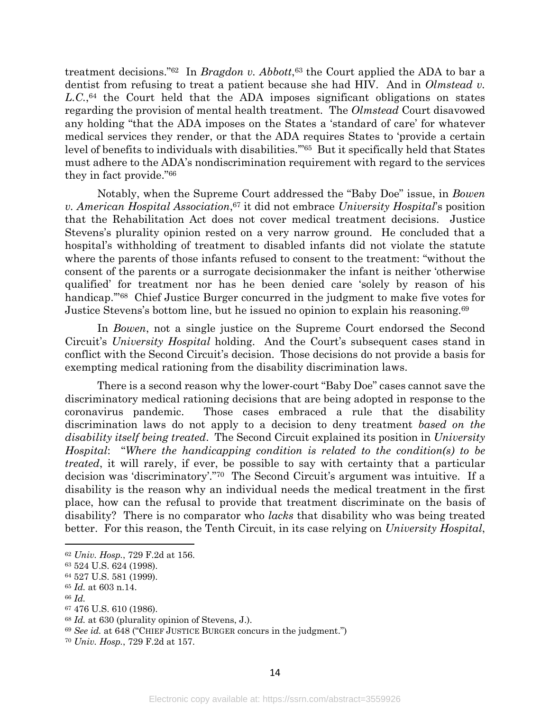treatment decisions."62 In *Bragdon v. Abbott*,63 the Court applied the ADA to bar a dentist from refusing to treat a patient because she had HIV. And in *Olmstead v.*  L.C.,<sup>64</sup> the Court held that the ADA imposes significant obligations on states regarding the provision of mental health treatment. The *Olmstead* Court disavowed any holding "that the ADA imposes on the States a 'standard of care' for whatever medical services they render, or that the ADA requires States to 'provide a certain level of benefits to individuals with disabilities.'"65 But it specifically held that States must adhere to the ADA's nondiscrimination requirement with regard to the services they in fact provide."66

Notably, when the Supreme Court addressed the "Baby Doe" issue, in *Bowen v. American Hospital Association*,<sup>67</sup> it did not embrace *University Hospital*'s position that the Rehabilitation Act does not cover medical treatment decisions. Justice Stevens's plurality opinion rested on a very narrow ground. He concluded that a hospital's withholding of treatment to disabled infants did not violate the statute where the parents of those infants refused to consent to the treatment: "without the consent of the parents or a surrogate decisionmaker the infant is neither 'otherwise qualified' for treatment nor has he been denied care 'solely by reason of his handicap."<sup>68</sup> Chief Justice Burger concurred in the judgment to make five votes for Justice Stevens's bottom line, but he issued no opinion to explain his reasoning.69

In *Bowen*, not a single justice on the Supreme Court endorsed the Second Circuit's *University Hospital* holding. And the Court's subsequent cases stand in conflict with the Second Circuit's decision. Those decisions do not provide a basis for exempting medical rationing from the disability discrimination laws.

There is a second reason why the lower-court "Baby Doe" cases cannot save the discriminatory medical rationing decisions that are being adopted in response to the coronavirus pandemic. Those cases embraced a rule that the disability discrimination laws do not apply to a decision to deny treatment *based on the disability itself being treated*. The Second Circuit explained its position in *University Hospital*: "*Where the handicapping condition is related to the condition(s) to be treated*, it will rarely, if ever, be possible to say with certainty that a particular decision was 'discriminatory'."70 The Second Circuit's argument was intuitive. If a disability is the reason why an individual needs the medical treatment in the first place, how can the refusal to provide that treatment discriminate on the basis of disability? There is no comparator who *lacks* that disability who was being treated better. For this reason, the Tenth Circuit, in its case relying on *University Hospital*,

<sup>62</sup> *Univ. Hosp.*, 729 F.2d at 156.

<sup>63</sup> 524 U.S. 624 (1998).

<sup>64</sup> 527 U.S. 581 (1999).

<sup>65</sup> *Id.* at 603 n.14.

<sup>66</sup> *Id.*

<sup>67</sup> 476 U.S. 610 (1986).

<sup>68</sup> *Id.* at 630 (plurality opinion of Stevens, J.).

<sup>69</sup> *See id.* at 648 ("CHIEF JUSTICE BURGER concurs in the judgment.")

<sup>70</sup> *Univ. Hosp.*, 729 F.2d at 157.